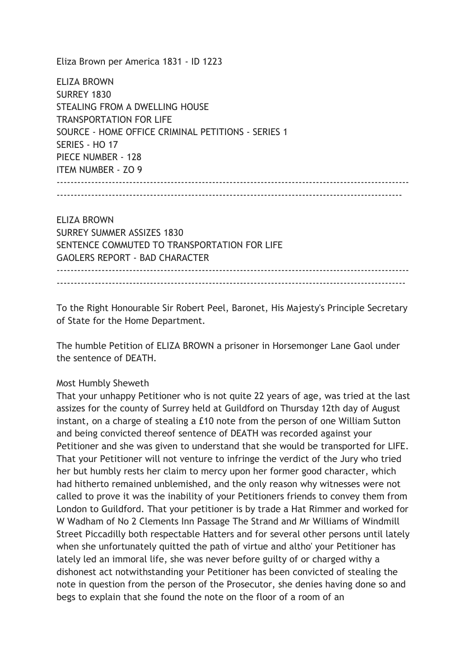Eliza Brown per America 1831 - ID 1223

ELIZA BROWN SURREY 1830 STEALING FROM A DWELLING HOUSE TRANSPORTATION FOR LIFE SOURCE - HOME OFFICE CRIMINAL PETITIONS - SERIES 1 SERIES - HO 17 PIECE NUMBER - 128 ITEM NUMBER - ZO 9 ------------------------------------------------------------------------------------------------------

----------------------------------------------------------------------------------------------------

ELIZA BROWN SURREY SUMMER ASSIZES 1830 SENTENCE COMMUTED TO TRANSPORTATION FOR LIFE GAOLERS REPORT - BAD CHARACTER ------------------------------------------------------------------------------------------------------

To the Right Honourable Sir Robert Peel, Baronet, His Majesty's Principle Secretary of State for the Home Department.

-----------------------------------------------------------------------------------------------------

The humble Petition of ELIZA BROWN a prisoner in Horsemonger Lane Gaol under the sentence of DEATH.

## Most Humbly Sheweth

That your unhappy Petitioner who is not quite 22 years of age, was tried at the last assizes for the county of Surrey held at Guildford on Thursday 12th day of August instant, on a charge of stealing a £10 note from the person of one William Sutton and being convicted thereof sentence of DEATH was recorded against your Petitioner and she was given to understand that she would be transported for LIFE. That your Petitioner will not venture to infringe the verdict of the Jury who tried her but humbly rests her claim to mercy upon her former good character, which had hitherto remained unblemished, and the only reason why witnesses were not called to prove it was the inability of your Petitioners friends to convey them from London to Guildford. That your petitioner is by trade a Hat Rimmer and worked for W Wadham of No 2 Clements Inn Passage The Strand and Mr Williams of Windmill Street Piccadilly both respectable Hatters and for several other persons until lately when she unfortunately quitted the path of virtue and altho' your Petitioner has lately led an immoral life, she was never before guilty of or charged withy a dishonest act notwithstanding your Petitioner has been convicted of stealing the note in question from the person of the Prosecutor, she denies having done so and begs to explain that she found the note on the floor of a room of an